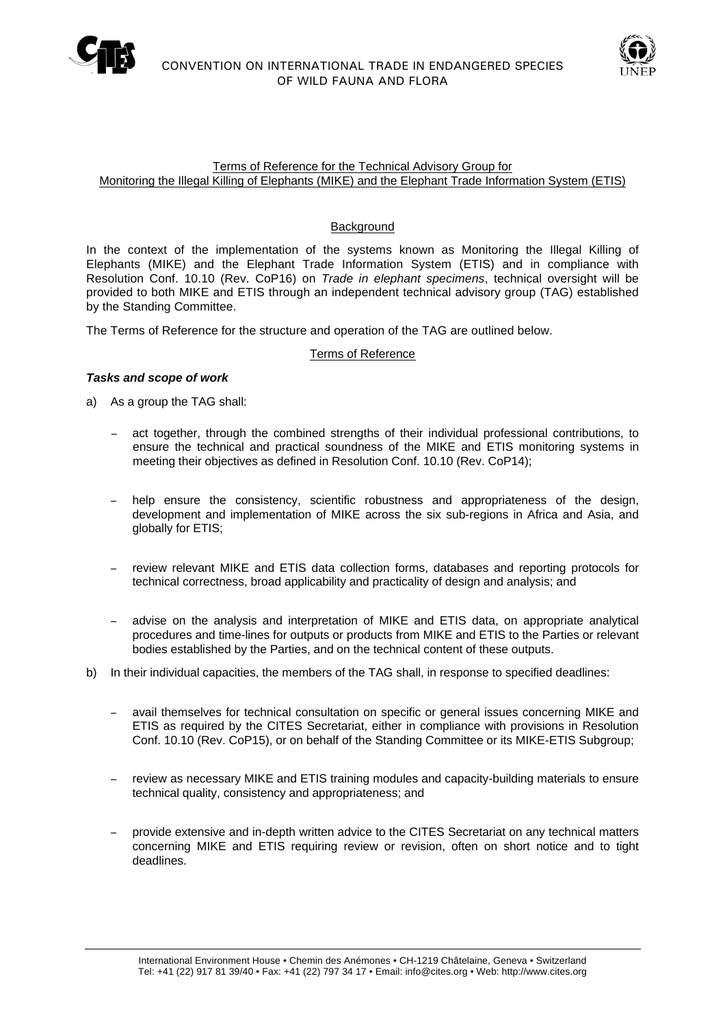



# Terms of Reference for the Technical Advisory Group for Monitoring the Illegal Killing of Elephants (MIKE) and the Elephant Trade Information System (ETIS)

# **Background**

In the context of the implementation of the systems known as Monitoring the Illegal Killing of Elephants (MIKE) and the Elephant Trade Information System (ETIS) and in compliance with Resolution Conf. 10.10 (Rev. CoP16) on *Trade in elephant specimens*, technical oversight will be provided to both MIKE and ETIS through an independent technical advisory group (TAG) established by the Standing Committee.

The Terms of Reference for the structure and operation of the TAG are outlined below.

### Terms of Reference

### *Tasks and scope of work*

a) As a group the TAG shall:

- act together, through the combined strengths of their individual professional contributions, to ensure the technical and practical soundness of the MIKE and ETIS monitoring systems in meeting their objectives as defined in Resolution Conf. 10.10 (Rev. CoP14);
- help ensure the consistency, scientific robustness and appropriateness of the design, development and implementation of MIKE across the six sub-regions in Africa and Asia, and globally for ETIS;
- review relevant MIKE and ETIS data collection forms, databases and reporting protocols for technical correctness, broad applicability and practicality of design and analysis; and
- − advise on the analysis and interpretation of MIKE and ETIS data, on appropriate analytical procedures and time-lines for outputs or products from MIKE and ETIS to the Parties or relevant bodies established by the Parties, and on the technical content of these outputs.
- b) In their individual capacities, the members of the TAG shall, in response to specified deadlines:
	- avail themselves for technical consultation on specific or general issues concerning MIKE and ETIS as required by the CITES Secretariat, either in compliance with provisions in Resolution Conf. 10.10 (Rev. CoP15), or on behalf of the Standing Committee or its MIKE-ETIS Subgroup;
	- review as necessary MIKE and ETIS training modules and capacity-building materials to ensure technical quality, consistency and appropriateness; and
	- − provide extensive and in-depth written advice to the CITES Secretariat on any technical matters concerning MIKE and ETIS requiring review or revision, often on short notice and to tight deadlines.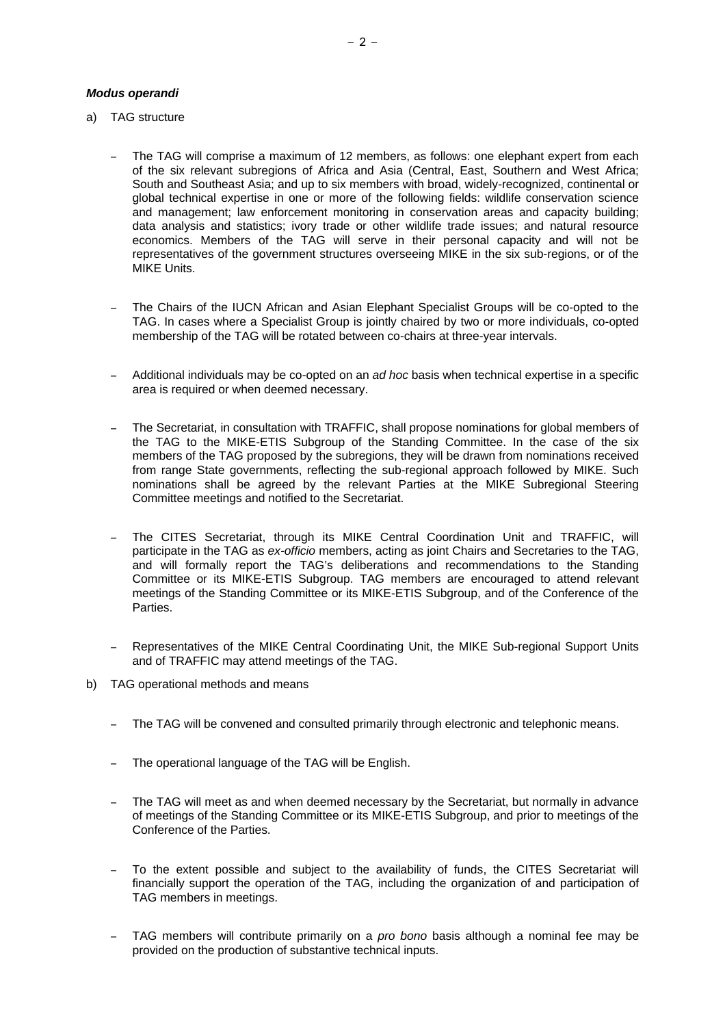#### *Modus operandi*

- a) TAG structure
	- The TAG will comprise a maximum of 12 members, as follows: one elephant expert from each of the six relevant subregions of Africa and Asia (Central, East, Southern and West Africa; South and Southeast Asia; and up to six members with broad, widely-recognized, continental or global technical expertise in one or more of the following fields: wildlife conservation science and management; law enforcement monitoring in conservation areas and capacity building; data analysis and statistics; ivory trade or other wildlife trade issues; and natural resource economics. Members of the TAG will serve in their personal capacity and will not be representatives of the government structures overseeing MIKE in the six sub-regions, or of the MIKE Units.
	- − The Chairs of the IUCN African and Asian Elephant Specialist Groups will be co-opted to the TAG. In cases where a Specialist Group is jointly chaired by two or more individuals, co-opted membership of the TAG will be rotated between co-chairs at three-year intervals.
	- − Additional individuals may be co-opted on an *ad hoc* basis when technical expertise in a specific area is required or when deemed necessary.
	- The Secretariat, in consultation with TRAFFIC, shall propose nominations for global members of the TAG to the MIKE-ETIS Subgroup of the Standing Committee. In the case of the six members of the TAG proposed by the subregions, they will be drawn from nominations received from range State governments, reflecting the sub-regional approach followed by MIKE. Such nominations shall be agreed by the relevant Parties at the MIKE Subregional Steering Committee meetings and notified to the Secretariat.
	- The CITES Secretariat, through its MIKE Central Coordination Unit and TRAFFIC, will participate in the TAG as *ex-officio* members, acting as joint Chairs and Secretaries to the TAG, and will formally report the TAG's deliberations and recommendations to the Standing Committee or its MIKE-ETIS Subgroup. TAG members are encouraged to attend relevant meetings of the Standing Committee or its MIKE-ETIS Subgroup, and of the Conference of the Parties.
	- Representatives of the MIKE Central Coordinating Unit, the MIKE Sub-regional Support Units and of TRAFFIC may attend meetings of the TAG.
- b) TAG operational methods and means
	- − The TAG will be convened and consulted primarily through electronic and telephonic means.
	- The operational language of the TAG will be English.
	- The TAG will meet as and when deemed necessary by the Secretariat, but normally in advance of meetings of the Standing Committee or its MIKE-ETIS Subgroup, and prior to meetings of the Conference of the Parties.
	- − To the extent possible and subject to the availability of funds, the CITES Secretariat will financially support the operation of the TAG, including the organization of and participation of TAG members in meetings.
	- − TAG members will contribute primarily on a *pro bono* basis although a nominal fee may be provided on the production of substantive technical inputs.